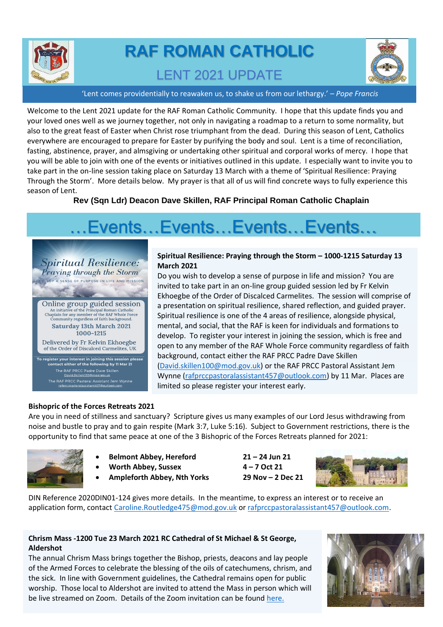

# **RAF ROMAN CATHOLIC**  LENT 2021 UPDATE



'Lent comes providentially to reawaken us, to shake us from our lethargy.' *– Pope Francis*

Welcome to the Lent 2021 update for the RAF Roman Catholic Community. I hope that this update finds you and your loved ones well as we journey together, not only in navigating a roadmap to a return to some normality, but also to the great feast of Easter when Christ rose triumphant from the dead. During this season of Lent, Catholics everywhere are encouraged to prepare for Easter by purifying the body and soul. Lent is a time of reconciliation, fasting, abstinence, prayer, and almsgiving or undertaking other spiritual and corporal works of mercy. I hope that you will be able to join with one of the events or initiatives outlined in this update. I especially want to invite you to take part in the on-line session taking place on Saturday 13 March with a theme of 'Spiritual Resilience: Praying Through the Storm'. More details below. My prayer is that all of us will find concrete ways to fully experience this season of Lent.

**Rev (Sqn Ldr) Deacon Dave Skillen, RAF Principal Roman Catholic Chaplain**

# …Events…Events…Events…Events…

*Spiritual Resilience:* Praying through the Storm P A SENSE OF PURPOSE IN LIFE AND MISSION

Online group guided session An initiative of the Principal Roman Catholic<br>Chaplain for any member of the RAF Whole Force<br>Community regardless of faith background. **Saturday 13th March 2021**  $1000 - 1215$ Delivered by Fr Kelvin Ekhoegbe

of the Order of Discalced Carmelites, UK To register your interest in joining this session please<br>contact either of the following by 11 Mar 21

ر<br>The RAF PRCC Padre Dave Skillen<br>David.Skillen100@mod.gov.uk The RAF PRCC Pastoral Assistant Jem Wynne<br>rafprccpastoralassistant457@outlook.com

### **Spiritual Resilience: Praying through the Storm – 1000-1215 Saturday 13 March 2021**

Do you wish to develop a sense of purpose in life and mission? You are invited to take part in an on-line group guided session led by Fr Kelvin Ekhoegbe of the Order of Discalced Carmelites. The session will comprise of a presentation on spiritual resilience, shared reflection, and guided prayer. Spiritual resilience is one of the 4 areas of resilience, alongside physical, mental, and social, that the RAF is keen for individuals and formations to develop. To register your interest in joining the session, which is free and open to any member of the RAF Whole Force community regardless of faith background, contact either the RAF PRCC Padre Dave Skillen [\(David.skillen100@mod.gov.uk\)](mailto:David.skillen100@mod.gov.uk) or the RAF PRCC Pastoral Assistant Jem Wynne [\(rafprccpastoralassistant457@outlook.com\)](mailto:rafprccpastoralassistant457@outlook.com) by 11 Mar. Places are limited so please register your interest early.

# **Bishopric of the Forces Retreats 2021**

Are you in need of stillness and sanctuary? Scripture gives us many examples of our Lord Jesus withdrawing from noise and bustle to pray and to gain respite (Mark 3:7, Luke 5:16). Subject to Government restrictions, there is the opportunity to find that same peace at one of the 3 Bishopric of the Forces Retreats planned for 2021:



- **Belmont Abbey, Hereford 21 – 24 Jun 21**
- **Worth Abbey, Sussex 4 – 7 Oct 21**
- **Ampleforth Abbey, Nth Yorks 29 Nov – 2 Dec 21**



DIN Reference 2020DIN01-124 gives more details. In the meantime, to express an interest or to receive an application form, contact [Caroline.Routledge475@mod.gov.uk](mailto:Caroline.Routledge475@mod.gov.uk) o[r rafprccpastoralassistant457@outlook.com.](mailto:rafprccpastoralassistant457@outlook.com)

# **Chrism Mass -1200 Tue 23 March 2021 RC Cathedral of St Michael & St George, Aldershot**

The annual Chrism Mass brings together the Bishop, priests, deacons and lay people of the Armed Forces to celebrate the blessing of the oils of catechumens, chrism, and the sick. In line with Government guidelines, the Cathedral remains open for public worship. Those local to Aldershot are invited to attend the Mass in person which will be live streamed on Zoom. Details of the Zoom invitation can be found [here.](https://www.rcbishopricforces.org.uk/news-letter)